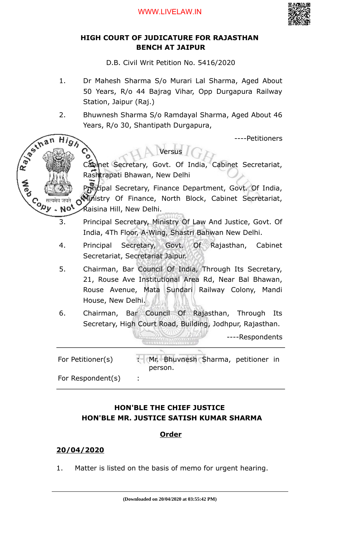

## **HIGH COURT OF JUDICATURE FOR RAJASTHAN BENCH AT JAIPUR**

D.B. Civil Writ Petition No. 5416/2020

- 1. Dr Mahesh Sharma S/o Murari Lal Sharma, Aged About 50 Years, R/o 44 Bajrag Vihar, Opp Durgapura Railway Station, Jaipur (Raj.)
- 2. Bhuwnesh Sharma S/o Ramdayal Sharma, Aged About 46 Years, R/o 30, Shantipath Durgapura,

Versus

----Petitioners

Cabinet Secretary, Govt. Of India, Cabinet Secretariat, Rashtrapati Bhawan, New Delhi

Principal Secretary, Finance Department, Govt. Of India, Ministry Of Finance, North Block, Cabinet Secretariat, Raisina Hill, New Delhi.

- 3. Principal Secretary, Ministry Of Law And Justice, Govt. Of India, 4Th Floor, A-Wing, Shastri Bahwan New Delhi.
- 4. Principal Secretary, Govt. Of Rajasthan, Cabinet Secretariat, Secretariat Jaipur.
- 5. Chairman, Bar Council Of India, Through Its Secretary, 21, Rouse Ave Institutional Area Rd, Near Bal Bhawan, Rouse Avenue, Mata Sundari Railway Colony, Mandi House, New Delhi.
- 6. Chairman, Bar Council Of Rajasthan, Through Its Secretary, High Court Road, Building, Jodhpur, Rajasthan.

----Respondents

For Petitioner(s)  $\mathbb{R}^d$  Mr. Bhuvnesh Sharma, petitioner in person. For Respondent(s) :

## **HON'BLE THE CHIEF JUSTICE HON'BLE MR. JUSTICE SATISH KUMAR SHARMA**

## **Order**

## **20/04/2020**

Rays in

 $Hig$ 

Co सत्यमेव जयते<br>Version Note

1. Matter is listed on the basis of memo for urgent hearing.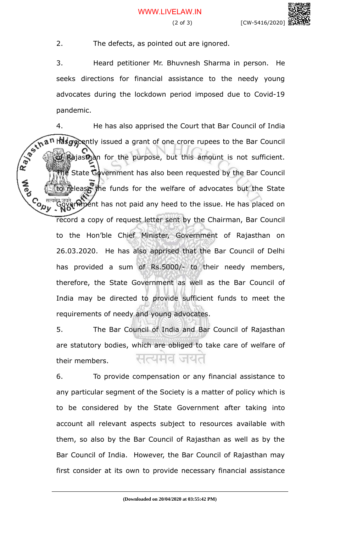2. The defects, as pointed out are ignored.

3. Heard petitioner Mr. Bhuvnesh Sharma in person. He seeks directions for financial assistance to the needy young advocates during the lockdown period imposed due to Covid-19 pandemic.

4. He has also apprised the Court that Bar Council of India has gecently issued a grant of one crore rupees to the Bar Council of Rajasthan for the purpose, but this amount is not sufficient. State Government has also been requested by the Bar Council lease the funds for the welfare of advocates but the State **Cody** ver that has not paid any heed to the issue. He has placed on record a copy of request letter sent by the Chairman, Bar Council to the Hon'ble Chief Minister, Government of Rajasthan on 26.03.2020. He has also apprised that the Bar Council of Delhi has provided a sum of Rs.5000/- to their needy members, therefore, the State Government as well as the Bar Council of India may be directed to provide sufficient funds to meet the requirements of needy and young advocates.

> 5. The Bar Council of India and Bar Council of Rajasthan are statutory bodies, which are obliged to take care of welfare of 너~니니이 their members.

> 6. To provide compensation or any financial assistance to any particular segment of the Society is a matter of policy which is to be considered by the State Government after taking into account all relevant aspects subject to resources available with them, so also by the Bar Council of Rajasthan as well as by the Bar Council of India. However, the Bar Council of Rajasthan may first consider at its own to provide necessary financial assistance